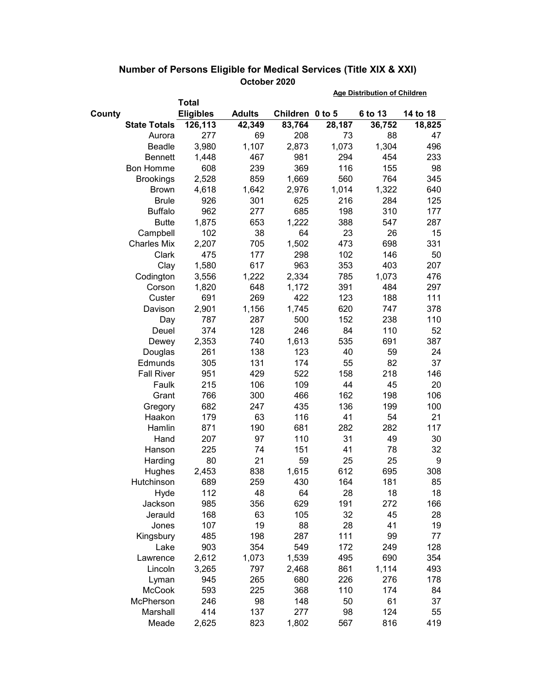|        |                     |                  |               |                 | <b>Age Distribution of Children</b> |         |          |  |
|--------|---------------------|------------------|---------------|-----------------|-------------------------------------|---------|----------|--|
|        |                     | <b>Total</b>     |               |                 |                                     |         |          |  |
| County |                     | <b>Eligibles</b> | <b>Adults</b> | Children 0 to 5 |                                     | 6 to 13 | 14 to 18 |  |
|        | <b>State Totals</b> | 126,113          | 42,349        | 83,764          | 28,187                              | 36,752  | 18,825   |  |
|        | Aurora              | 277              | 69            | 208             | 73                                  | 88      | 47       |  |
|        | Beadle              | 3,980            | 1,107         | 2,873           | 1,073                               | 1,304   | 496      |  |
|        | Bennett             | 1,448            | 467           | 981             | 294                                 | 454     | 233      |  |
|        | <b>Bon Homme</b>    | 608              | 239           | 369             | 116                                 | 155     | 98       |  |
|        | <b>Brookings</b>    | 2,528            | 859           | 1,669           | 560                                 | 764     | 345      |  |
|        | <b>Brown</b>        | 4,618            | 1,642         | 2,976           | 1,014                               | 1,322   | 640      |  |
|        | <b>Brule</b>        | 926              | 301           | 625             | 216                                 | 284     | 125      |  |
|        | <b>Buffalo</b>      | 962              | 277           | 685             | 198                                 | 310     | 177      |  |
|        | <b>Butte</b>        | 1,875            | 653           | 1,222           | 388                                 | 547     | 287      |  |
|        | Campbell            | 102              | 38            | 64              | 23                                  | 26      | 15       |  |
|        | <b>Charles Mix</b>  | 2,207            | 705           | 1,502           | 473                                 | 698     | 331      |  |
|        | Clark               | 475              | 177           | 298             | 102                                 | 146     | 50       |  |
|        | Clay                | 1,580            | 617           | 963             | 353                                 | 403     | 207      |  |
|        | Codington           | 3,556            | 1,222         | 2,334           | 785                                 | 1,073   | 476      |  |
|        | Corson              | 1,820            | 648           | 1,172           | 391                                 | 484     | 297      |  |
|        | Custer              | 691              | 269           | 422             | 123                                 | 188     | 111      |  |
|        | Davison             | 2,901            | 1,156         | 1,745           | 620                                 | 747     | 378      |  |
|        | Day                 | 787              | 287           | 500             | 152                                 | 238     | 110      |  |
|        | Deuel               | 374              | 128           | 246             | 84                                  | 110     | 52       |  |
|        | Dewey               | 2,353            | 740           | 1,613           | 535                                 | 691     | 387      |  |
|        | Douglas             | 261              | 138           | 123             | 40                                  | 59      | 24       |  |
|        | Edmunds             | 305              | 131           | 174             | 55                                  | 82      | 37       |  |
|        | <b>Fall River</b>   | 951              | 429           | 522             | 158                                 | 218     | 146      |  |
|        | Faulk               | 215              | 106           | 109             | 44                                  | 45      | 20       |  |
|        | Grant               | 766              | 300           | 466             | 162                                 | 198     | 106      |  |
|        | Gregory             | 682              | 247           | 435             | 136                                 | 199     | 100      |  |
|        | Haakon              | 179              | 63            | 116             | 41                                  | 54      | 21       |  |
|        | Hamlin              | 871              | 190           | 681             | 282                                 | 282     | 117      |  |
|        | Hand                | 207              | 97            | 110             | 31                                  | 49      | 30       |  |
|        | Hanson              | 225              | 74            | 151             | 41                                  | 78      | 32       |  |
|        | Harding             | 80               | 21            | 59              | 25                                  | 25      | 9        |  |
|        | Hughes              | 2,453            | 838           | 1,615           | 612                                 | 695     | 308      |  |
|        | Hutchinson          | 689              | 259           | 430             | 164                                 | 181     | 85       |  |
|        | Hyde                | 112              | 48            | 64              | 28                                  | 18      | 18       |  |
|        | Jackson             | 985              | 356           | 629             | 191                                 | 272     | 166      |  |
|        | Jerauld             | 168              | 63            | 105             | 32                                  | 45      | 28       |  |
|        | Jones               | 107              | 19            | 88              | 28                                  | 41      | 19       |  |
|        | Kingsbury           | 485              | 198           | 287             | 111                                 | 99      | 77       |  |
|        | Lake                | 903              | 354           | 549             | 172                                 | 249     | 128      |  |
|        | Lawrence            | 2,612            | 1,073         | 1,539           | 495                                 | 690     | 354      |  |
|        | Lincoln             | 3,265            | 797           | 2,468           | 861                                 | 1,114   | 493      |  |
|        | Lyman               | 945              | 265           | 680             | 226                                 | 276     | 178      |  |
|        | McCook              | 593              | 225           | 368             | 110                                 | 174     | 84       |  |
|        | McPherson           | 246              | 98            | 148             | 50                                  | 61      | 37       |  |
|        | Marshall            | 414              | 137           | 277             | 98                                  | 124     | 55       |  |
|        | Meade               | 2,625            | 823           | 1,802           | 567                                 | 816     | 419      |  |

## **Number of Persons Eligible for Medical Services (Title XIX & XXI) October 2020**